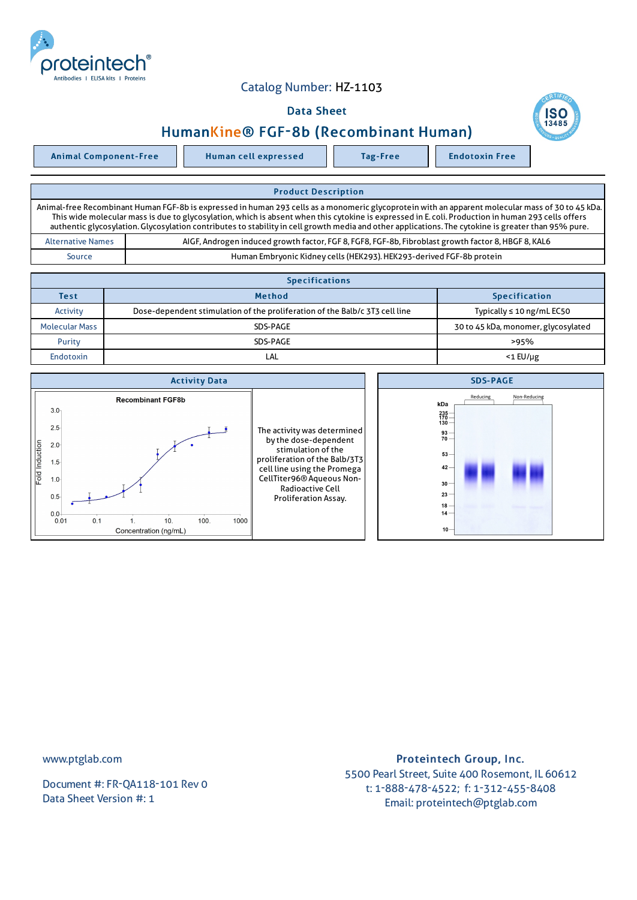

## Catalog Number: HZ-1103

## Data Sheet



Animal Component-Free | Human cell expressed | Tag-Free | Endotoxin Free

**SC** 

| <b>Product Description</b>                                                                                                                                                                                                                                                                                                                                                                                                                                     |                                                                                                     |  |  |  |
|----------------------------------------------------------------------------------------------------------------------------------------------------------------------------------------------------------------------------------------------------------------------------------------------------------------------------------------------------------------------------------------------------------------------------------------------------------------|-----------------------------------------------------------------------------------------------------|--|--|--|
| Animal-free Recombinant Human FGF-8b is expressed in human 293 cells as a monomeric glycoprotein with an apparent molecular mass of 30 to 45 kDa.<br>This wide molecular mass is due to glycosylation, which is absent when this cytokine is expressed in E. coli. Production in human 293 cells offers<br>authentic glycosylation. Glycosylation contributes to stability in cell growth media and other applications. The cytokine is greater than 95% pure. |                                                                                                     |  |  |  |
| <b>Alternative Names</b>                                                                                                                                                                                                                                                                                                                                                                                                                                       | AIGF, Androgen induced growth factor, FGF 8, FGF8, FGF-8b, Fibroblast growth factor 8, HBGF 8, KAL6 |  |  |  |
| Source                                                                                                                                                                                                                                                                                                                                                                                                                                                         | Human Embryonic Kidney cells (HEK293). HEK293-derived FGF-8b protein                                |  |  |  |

| <b>Specifications</b> |                                                                             |                                     |  |  |  |
|-----------------------|-----------------------------------------------------------------------------|-------------------------------------|--|--|--|
| <b>Test</b>           | <b>Method</b>                                                               | <b>Specification</b>                |  |  |  |
| Activity              | Dose-dependent stimulation of the proliferation of the Balb/c 3T3 cell line | Typically $\leq 10$ ng/mL EC50      |  |  |  |
| <b>Molecular Mass</b> | SDS-PAGE                                                                    | 30 to 45 kDa, monomer, glycosylated |  |  |  |
| Purity                | SDS-PAGE                                                                    | >95%                                |  |  |  |
| Endotoxin             | LAL                                                                         | $<$ 1 $E$ U/µg                      |  |  |  |



www.ptglab.com

Document #: FR-QA118-101 Rev 0 Data Sheet Version #: 1

## Proteintech Group, Inc. 5500 Pearl Street, Suite 400 Rosemont, IL 60612 t: 1-888-478-4522; f: 1-312-455-8408 Email: proteintech@ptglab.com